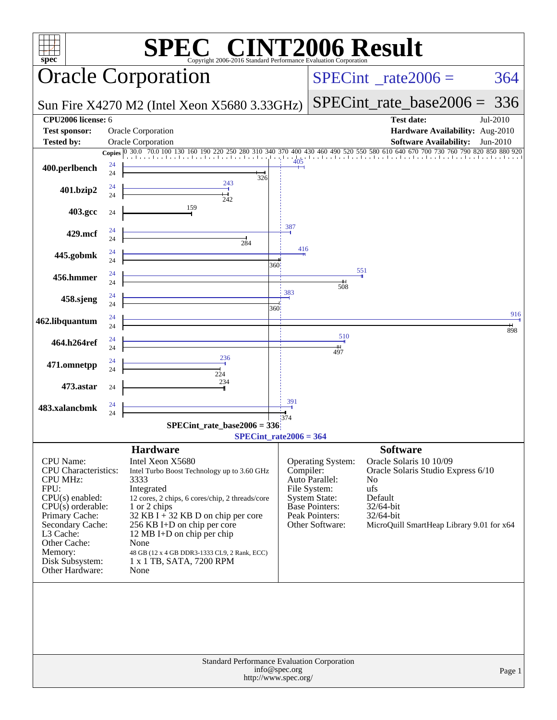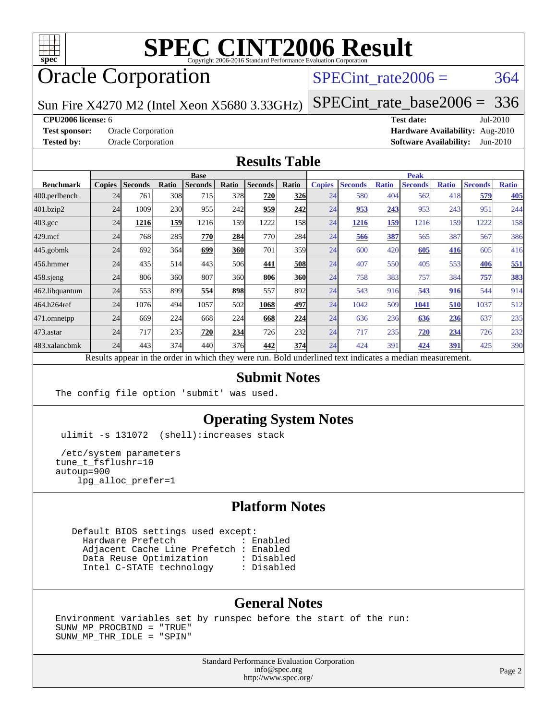

# **[SPEC CINT2006 Result](http://www.spec.org/auto/cpu2006/Docs/result-fields.html#SPECCINT2006Result)**

# Oracle Corporation

# $SPECTnt_rate2006 = 364$

Sun Fire X4270 M2 (Intel Xeon X5680 3.33GHz)

[SPECint\\_rate\\_base2006 =](http://www.spec.org/auto/cpu2006/Docs/result-fields.html#SPECintratebase2006) 336

#### **[CPU2006 license:](http://www.spec.org/auto/cpu2006/Docs/result-fields.html#CPU2006license)** 6 **[Test date:](http://www.spec.org/auto/cpu2006/Docs/result-fields.html#Testdate)** Jul-2010

**[Test sponsor:](http://www.spec.org/auto/cpu2006/Docs/result-fields.html#Testsponsor)** Oracle Corporation **[Hardware Availability:](http://www.spec.org/auto/cpu2006/Docs/result-fields.html#HardwareAvailability)** Aug-2010 **[Tested by:](http://www.spec.org/auto/cpu2006/Docs/result-fields.html#Testedby)** Oracle Corporation **[Software Availability:](http://www.spec.org/auto/cpu2006/Docs/result-fields.html#SoftwareAvailability)** Jun-2010

## **[Results Table](http://www.spec.org/auto/cpu2006/Docs/result-fields.html#ResultsTable)**

|                                                                                                          | <b>Base</b>   |                |       |                |            |                |       |               | <b>Peak</b>    |              |                |              |                |              |  |
|----------------------------------------------------------------------------------------------------------|---------------|----------------|-------|----------------|------------|----------------|-------|---------------|----------------|--------------|----------------|--------------|----------------|--------------|--|
| <b>Benchmark</b>                                                                                         | <b>Copies</b> | <b>Seconds</b> | Ratio | <b>Seconds</b> | Ratio      | <b>Seconds</b> | Ratio | <b>Copies</b> | <b>Seconds</b> | <b>Ratio</b> | <b>Seconds</b> | <b>Ratio</b> | <b>Seconds</b> | <b>Ratio</b> |  |
| 400.perlbench                                                                                            | 24            | 761            | 308   | 715            | <b>328</b> | 720            | 326   | 24            | 580            | 404          | 562            | 418          | 579            | <b>405</b>   |  |
| 401.bzip2                                                                                                | 24            | 1009           | 230   | 955            | 242        | 959            | 242   | 24            | 953            | 243          | 953            | 243          | 951            | 244          |  |
| $403.\mathrm{gcc}$                                                                                       | 24            | 1216           | 159   | 1216           | 159I       | 1222           | 158   | 24            | 1216           | 159          | 1216           | 159          | 1222           | 158          |  |
| $429$ .mcf                                                                                               | 24            | 768            | 285   | 770            | 284        | 770            | 284   | 24            | 566            | 387          | 565            | 387          | 567            | 386          |  |
| 445.gobmk                                                                                                | 24            | 692            | 364   | 699            | <b>360</b> | 701            | 359   | 24            | 600            | 420          | 605            | <b>416</b>   | 605            | 416          |  |
| 456.hmmer                                                                                                | 24            | 435            | 514   | 443            | 506        | 441            | 508   | 24            | 407            | 550          | 405            | 553          | 406            | 551          |  |
| $458$ sjeng                                                                                              | 24            | 806            | 360   | 807            | 360        | 806            | 360   | 24            | 758            | 383          | 757            | 384          | 757            | <u>383</u>   |  |
| 462.libquantum                                                                                           | 24            | 553            | 899   | 554            | 898        | 557            | 892   | 24            | 543            | 916          | 543            | 916          | 544            | 914          |  |
| 464.h264ref                                                                                              | 24            | 1076           | 494   | 1057           | 502        | 1068           | 497   | 24            | 1042           | 509          | 1041           | 510          | 1037           | 512          |  |
| 471.omnetpp                                                                                              | 24            | 669            | 224   | 668            | 224        | 668            | 224   | 24            | 636            | 236          | 636            | 236          | 637            | 235          |  |
| 473.astar                                                                                                | 24            | 717            | 235   | 720            | 234        | 726            | 232   | 24            | 717            | 235          | 720            | 234          | 726            | 232          |  |
| 483.xalancbmk                                                                                            | 24            | 443            | 374   | 440            | 376        | 442            | 374   | 24            | 424            | 391          | 424            | 391          | 425            | 390          |  |
| Results appear in the order in which they were run. Bold underlined text indicates a median measurement. |               |                |       |                |            |                |       |               |                |              |                |              |                |              |  |

## **[Submit Notes](http://www.spec.org/auto/cpu2006/Docs/result-fields.html#SubmitNotes)**

The config file option 'submit' was used.

## **[Operating System Notes](http://www.spec.org/auto/cpu2006/Docs/result-fields.html#OperatingSystemNotes)**

ulimit -s 131072 (shell): increases stack

 /etc/system parameters tune\_t\_fsflushr=10 autoup=900 lpg\_alloc\_prefer=1

## **[Platform Notes](http://www.spec.org/auto/cpu2006/Docs/result-fields.html#PlatformNotes)**

 Default BIOS settings used except: Hardware Prefetch : Enabled Adjacent Cache Line Prefetch : Enabled Data Reuse Optimization : Disabled Intel C-STATE technology : Disabled

## **[General Notes](http://www.spec.org/auto/cpu2006/Docs/result-fields.html#GeneralNotes)**

Environment variables set by runspec before the start of the run: SUNW\_MP\_PROCBIND = "TRUE" SUNW\_MP\_THR\_IDLE = "SPIN"

> Standard Performance Evaluation Corporation [info@spec.org](mailto:info@spec.org) <http://www.spec.org/>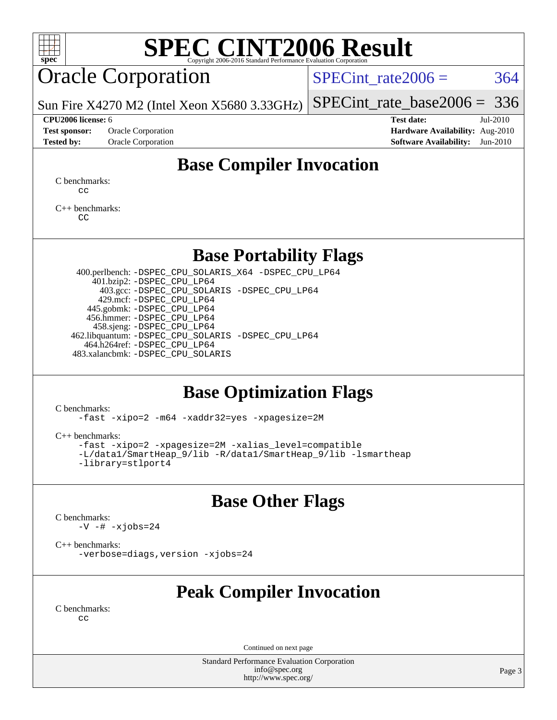

# **[SPEC CINT2006 Result](http://www.spec.org/auto/cpu2006/Docs/result-fields.html#SPECCINT2006Result)**

# Oracle Corporation

SPECint rate $2006 = 364$ 

Sun Fire X4270 M2 (Intel Xeon X5680 3.33GHz) [SPECint\\_rate\\_base2006 =](http://www.spec.org/auto/cpu2006/Docs/result-fields.html#SPECintratebase2006) 336

**[Test sponsor:](http://www.spec.org/auto/cpu2006/Docs/result-fields.html#Testsponsor)** Oracle Corporation **[Hardware Availability:](http://www.spec.org/auto/cpu2006/Docs/result-fields.html#HardwareAvailability)** Aug-2010 **[Tested by:](http://www.spec.org/auto/cpu2006/Docs/result-fields.html#Testedby)** Oracle Corporation **[Software Availability:](http://www.spec.org/auto/cpu2006/Docs/result-fields.html#SoftwareAvailability)** Jun-2010

**[CPU2006 license:](http://www.spec.org/auto/cpu2006/Docs/result-fields.html#CPU2006license)** 6 **[Test date:](http://www.spec.org/auto/cpu2006/Docs/result-fields.html#Testdate)** Jul-2010

# **[Base Compiler Invocation](http://www.spec.org/auto/cpu2006/Docs/result-fields.html#BaseCompilerInvocation)**

[C benchmarks](http://www.spec.org/auto/cpu2006/Docs/result-fields.html#Cbenchmarks): [cc](http://www.spec.org/cpu2006/results/res2010q3/cpu2006-20100816-12953.flags.html#user_CCbase_solaris_studio_cc)

[C++ benchmarks:](http://www.spec.org/auto/cpu2006/Docs/result-fields.html#CXXbenchmarks) [CC](http://www.spec.org/cpu2006/results/res2010q3/cpu2006-20100816-12953.flags.html#user_CXXbase_solaris_studio_CC)

## **[Base Portability Flags](http://www.spec.org/auto/cpu2006/Docs/result-fields.html#BasePortabilityFlags)**

 400.perlbench: [-DSPEC\\_CPU\\_SOLARIS\\_X64](http://www.spec.org/cpu2006/results/res2010q3/cpu2006-20100816-12953.flags.html#b400.perlbench_baseCPORTABILITY_DSPEC_CPU_SOLARIS_X64) [-DSPEC\\_CPU\\_LP64](http://www.spec.org/cpu2006/results/res2010q3/cpu2006-20100816-12953.flags.html#b400.perlbench_baseEXTRA_CPORTABILITY_DSPEC_CPU_LP64) 401.bzip2: [-DSPEC\\_CPU\\_LP64](http://www.spec.org/cpu2006/results/res2010q3/cpu2006-20100816-12953.flags.html#suite_baseEXTRA_CPORTABILITY401_bzip2_DSPEC_CPU_LP64) 403.gcc: [-DSPEC\\_CPU\\_SOLARIS](http://www.spec.org/cpu2006/results/res2010q3/cpu2006-20100816-12953.flags.html#b403.gcc_baseCPORTABILITY_DSPEC_CPU_SOLARIS) [-DSPEC\\_CPU\\_LP64](http://www.spec.org/cpu2006/results/res2010q3/cpu2006-20100816-12953.flags.html#suite_baseEXTRA_CPORTABILITY403_gcc_DSPEC_CPU_LP64) 429.mcf: [-DSPEC\\_CPU\\_LP64](http://www.spec.org/cpu2006/results/res2010q3/cpu2006-20100816-12953.flags.html#suite_baseEXTRA_CPORTABILITY429_mcf_DSPEC_CPU_LP64) 445.gobmk: [-DSPEC\\_CPU\\_LP64](http://www.spec.org/cpu2006/results/res2010q3/cpu2006-20100816-12953.flags.html#suite_baseEXTRA_CPORTABILITY445_gobmk_DSPEC_CPU_LP64) 456.hmmer: [-DSPEC\\_CPU\\_LP64](http://www.spec.org/cpu2006/results/res2010q3/cpu2006-20100816-12953.flags.html#suite_baseEXTRA_CPORTABILITY456_hmmer_DSPEC_CPU_LP64) 458.sjeng: [-DSPEC\\_CPU\\_LP64](http://www.spec.org/cpu2006/results/res2010q3/cpu2006-20100816-12953.flags.html#suite_baseEXTRA_CPORTABILITY458_sjeng_DSPEC_CPU_LP64) 462.libquantum: [-DSPEC\\_CPU\\_SOLARIS](http://www.spec.org/cpu2006/results/res2010q3/cpu2006-20100816-12953.flags.html#b462.libquantum_baseCPORTABILITY_DSPEC_CPU_SOLARIS) [-DSPEC\\_CPU\\_LP64](http://www.spec.org/cpu2006/results/res2010q3/cpu2006-20100816-12953.flags.html#suite_baseEXTRA_CPORTABILITY462_libquantum_DSPEC_CPU_LP64) 464.h264ref: [-DSPEC\\_CPU\\_LP64](http://www.spec.org/cpu2006/results/res2010q3/cpu2006-20100816-12953.flags.html#suite_baseEXTRA_CPORTABILITY464_h264ref_DSPEC_CPU_LP64) 483.xalancbmk: [-DSPEC\\_CPU\\_SOLARIS](http://www.spec.org/cpu2006/results/res2010q3/cpu2006-20100816-12953.flags.html#b483.xalancbmk_baseCXXPORTABILITY_DSPEC_CPU_SOLARIS)

# **[Base Optimization Flags](http://www.spec.org/auto/cpu2006/Docs/result-fields.html#BaseOptimizationFlags)**

[C benchmarks](http://www.spec.org/auto/cpu2006/Docs/result-fields.html#Cbenchmarks):

[-fast](http://www.spec.org/cpu2006/results/res2010q3/cpu2006-20100816-12953.flags.html#user_CCbase_fast_cc) [-xipo=2](http://www.spec.org/cpu2006/results/res2010q3/cpu2006-20100816-12953.flags.html#user_CCbase_xipo_5e3708e8f61bc7c7cade0f8c4dada1db) [-m64](http://www.spec.org/cpu2006/results/res2010q3/cpu2006-20100816-12953.flags.html#user_CCbase_F-m64) [-xaddr32=yes](http://www.spec.org/cpu2006/results/res2010q3/cpu2006-20100816-12953.flags.html#user_CCbase_xaddr32) [-xpagesize=2M](http://www.spec.org/cpu2006/results/res2010q3/cpu2006-20100816-12953.flags.html#user_CCbase_xpagesize_f50b67cca4ef3b24ae5e9aaf0af70b7e)

[C++ benchmarks:](http://www.spec.org/auto/cpu2006/Docs/result-fields.html#CXXbenchmarks)

```
-fast -xipo=2 -xpagesize=2M -xalias_level=compatible
-L/data1/SmartHeap_9/lib -R/data1/SmartHeap_9/lib -lsmartheap
-library=stlport4
```
# **[Base Other Flags](http://www.spec.org/auto/cpu2006/Docs/result-fields.html#BaseOtherFlags)**

[C benchmarks](http://www.spec.org/auto/cpu2006/Docs/result-fields.html#Cbenchmarks):  $-V$   $-$ #  $-xjobs=24$ 

[C++ benchmarks:](http://www.spec.org/auto/cpu2006/Docs/result-fields.html#CXXbenchmarks)

[-verbose=diags,version](http://www.spec.org/cpu2006/results/res2010q3/cpu2006-20100816-12953.flags.html#user_CXXbase_verbose_CC) [-xjobs=24](http://www.spec.org/cpu2006/results/res2010q3/cpu2006-20100816-12953.flags.html#user_CXXbase_xjobs_abd6ddc54c9060592217816ca032119c)

# **[Peak Compiler Invocation](http://www.spec.org/auto/cpu2006/Docs/result-fields.html#PeakCompilerInvocation)**

[C benchmarks](http://www.spec.org/auto/cpu2006/Docs/result-fields.html#Cbenchmarks):  $C<sub>c</sub>$ 

Continued on next page

Standard Performance Evaluation Corporation [info@spec.org](mailto:info@spec.org) <http://www.spec.org/>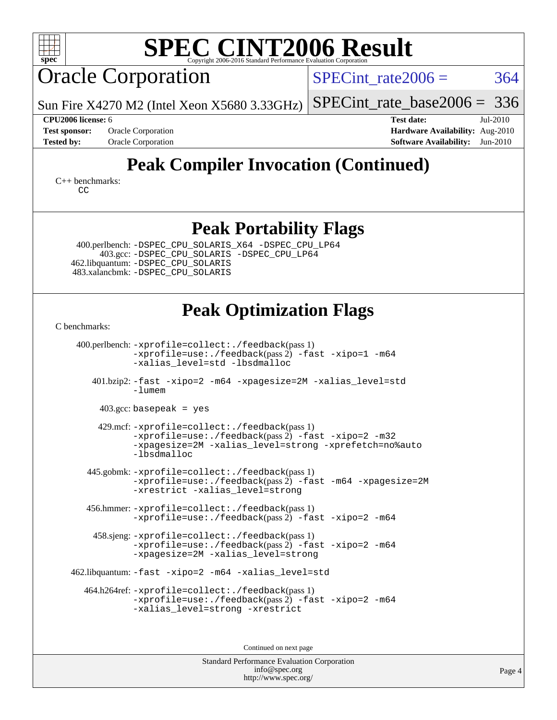

Standard Performance Evaluation Corporation [info@spec.org](mailto:info@spec.org) <http://www.spec.org/>